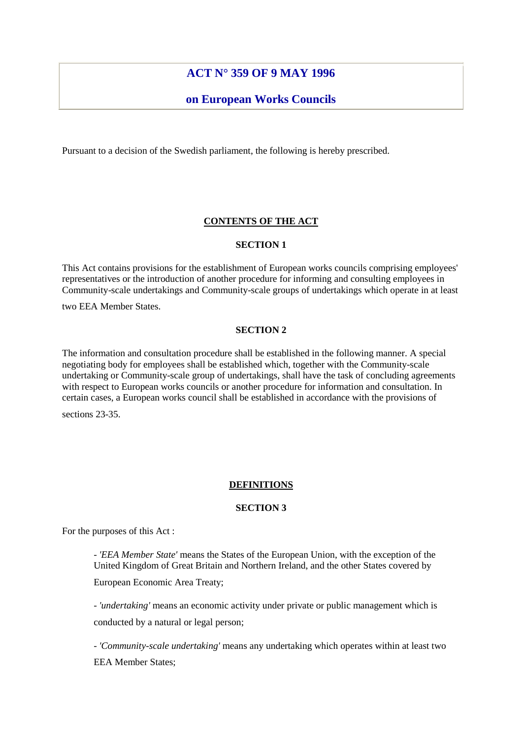# **ACT N° 359 OF 9 MAY 1996**

# **on European Works Councils**

Pursuant to a decision of the Swedish parliament, the following is hereby prescribed.

## **CONTENTS OF THE ACT**

### **SECTION 1**

This Act contains provisions for the establishment of European works councils comprising employees' representatives or the introduction of another procedure for informing and consulting employees in Community-scale undertakings and Community-scale groups of undertakings which operate in at least

two EEA Member States.

## **SECTION 2**

The information and consultation procedure shall be established in the following manner. A special negotiating body for employees shall be established which, together with the Community-scale undertaking or Community-scale group of undertakings, shall have the task of concluding agreements with respect to European works councils or another procedure for information and consultation. In certain cases, a European works council shall be established in accordance with the provisions of

sections 23-35.

## **DEFINITIONS**

## **SECTION 3**

For the purposes of this Act :

- *'EEA Member State'* means the States of the European Union, with the exception of the United Kingdom of Great Britain and Northern Ireland, and the other States covered by

European Economic Area Treaty;

- *'undertaking'* means an economic activity under private or public management which is conducted by a natural or legal person;

- *'Community-scale undertaking'* means any undertaking which operates within at least two EEA Member States;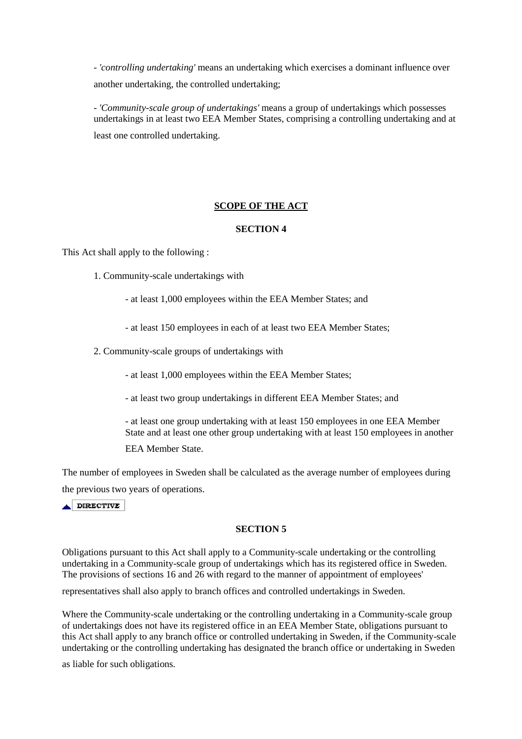- *'controlling undertaking'* means an undertaking which exercises a dominant influence over another undertaking, the controlled undertaking;

- *'Community-scale group of undertakings'* means a group of undertakings which possesses undertakings in at least two EEA Member States, comprising a controlling undertaking and at least one controlled undertaking.

# **SCOPE OF THE ACT**

## **SECTION 4**

This Act shall apply to the following :

- 1. Community-scale undertakings with
	- at least 1,000 employees within the EEA Member States; and
	- at least 150 employees in each of at least two EEA Member States;
- 2. Community-scale groups of undertakings with
	- at least 1,000 employees within the EEA Member States;
	- at least two group undertakings in different EEA Member States; and

- at least one group undertaking with at least 150 employees in one EEA Member State and at least one other group undertaking with at least 150 employees in another EEA Member State.

The number of employees in Sweden shall be calculated as the average number of employees during the previous two years of operations.

DIRECTIVE

## **SECTION 5**

Obligations pursuant to this Act shall apply to a Community-scale undertaking or the controlling undertaking in a Community-scale group of undertakings which has its registered office in Sweden. The provisions of sections 16 and 26 with regard to the manner of appointment of employees'

representatives shall also apply to branch offices and controlled undertakings in Sweden.

Where the Community-scale undertaking or the controlling undertaking in a Community-scale group of undertakings does not have its registered office in an EEA Member State, obligations pursuant to this Act shall apply to any branch office or controlled undertaking in Sweden, if the Community-scale undertaking or the controlling undertaking has designated the branch office or undertaking in Sweden

as liable for such obligations.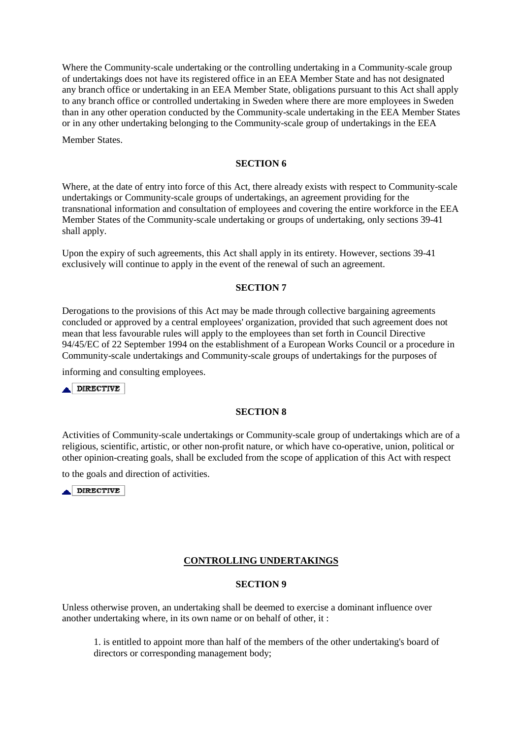Where the Community-scale undertaking or the controlling undertaking in a Community-scale group of undertakings does not have its registered office in an EEA Member State and has not designated any branch office or undertaking in an EEA Member State, obligations pursuant to this Act shall apply to any branch office or controlled undertaking in Sweden where there are more employees in Sweden than in any other operation conducted by the Community-scale undertaking in the EEA Member States or in any other undertaking belonging to the Community-scale group of undertakings in the EEA

Member States.

## **SECTION 6**

Where, at the date of entry into force of this Act, there already exists with respect to Community-scale undertakings or Community-scale groups of undertakings, an agreement providing for the transnational information and consultation of employees and covering the entire workforce in the EEA Member States of the Community-scale undertaking or groups of undertaking, only sections 39-41 shall apply.

Upon the expiry of such agreements, this Act shall apply in its entirety. However, sections 39-41 exclusively will continue to apply in the event of the renewal of such an agreement.

## **SECTION 7**

Derogations to the provisions of this Act may be made through collective bargaining agreements concluded or approved by a central employees' organization, provided that such agreement does not mean that less favourable rules will apply to the employees than set forth in Council Directive 94/45/EC of 22 September 1994 on the establishment of a European Works Council or a procedure in Community-scale undertakings and Community-scale groups of undertakings for the purposes of

informing and consulting employees.

DIRECTIVE

## **SECTION 8**

Activities of Community-scale undertakings or Community-scale group of undertakings which are of a religious, scientific, artistic, or other non-profit nature, or which have co-operative, union, political or other opinion-creating goals, shall be excluded from the scope of application of this Act with respect

to the goals and direction of activities.

 $\blacktriangle$  DIRECTIVE

## **CONTROLLING UNDERTAKINGS**

## **SECTION 9**

Unless otherwise proven, an undertaking shall be deemed to exercise a dominant influence over another undertaking where, in its own name or on behalf of other, it :

1. is entitled to appoint more than half of the members of the other undertaking's board of directors or corresponding management body;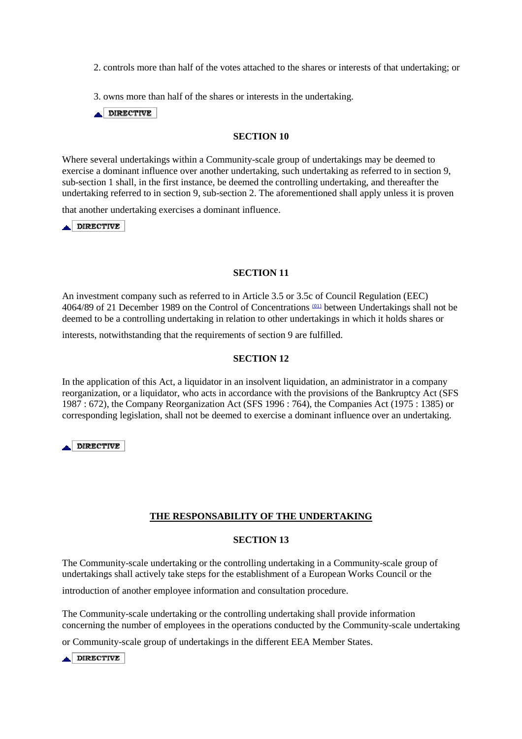2. controls more than half of the votes attached to the shares or interests of that undertaking; or

3. owns more than half of the shares or interests in the undertaking.

 $\triangle$  DIRECTIVE

### **SECTION 10**

Where several undertakings within a Community-scale group of undertakings may be deemed to exercise a dominant influence over another undertaking, such undertaking as referred to in section 9, sub-section 1 shall, in the first instance, be deemed the controlling undertaking, and thereafter the undertaking referred to in section 9, sub-section 2. The aforementioned shall apply unless it is proven

that another undertaking exercises a dominant influence.

 $\triangle$  DIRECTIVE

### **SECTION 11**

An investment company such as referred to in Article 3.5 or 3.5c of Council Regulation (EEC) 4064/89 of 21 December 1989 on the Control of Concentrations (01) between Undertakings shall not be deemed to be a controlling undertaking in relation to other undertakings in which it holds shares or

interests, notwithstanding that the requirements of section 9 are fulfilled.

### **SECTION 12**

In the application of this Act, a liquidator in an insolvent liquidation, an administrator in a company reorganization, or a liquidator, who acts in accordance with the provisions of the Bankruptcy Act (SFS 1987 : 672), the Company Reorganization Act (SFS 1996 : 764), the Companies Act (1975 : 1385) or corresponding legislation, shall not be deemed to exercise a dominant influence over an undertaking.

DIRECTIVE

## **THE RESPONSABILITY OF THE UNDERTAKING**

### **SECTION 13**

The Community-scale undertaking or the controlling undertaking in a Community-scale group of undertakings shall actively take steps for the establishment of a European Works Council or the

introduction of another employee information and consultation procedure.

The Community-scale undertaking or the controlling undertaking shall provide information concerning the number of employees in the operations conducted by the Community-scale undertaking

or Community-scale group of undertakings in the different EEA Member States.

 $\triangle$  DIRECTIVE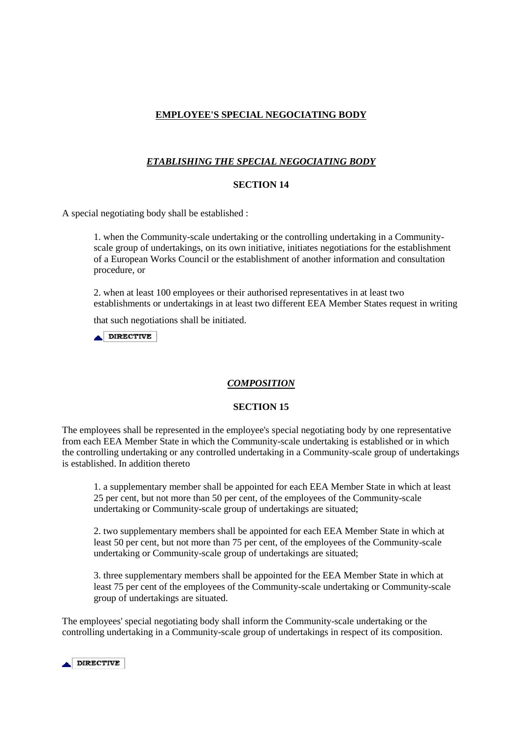# **EMPLOYEE'S SPECIAL NEGOCIATING BODY**

# *ETABLISHING THE SPECIAL NEGOCIATING BODY*

### **SECTION 14**

A special negotiating body shall be established :

1. when the Community-scale undertaking or the controlling undertaking in a Communityscale group of undertakings, on its own initiative, initiates negotiations for the establishment of a European Works Council or the establishment of another information and consultation procedure, or

2. when at least 100 employees or their authorised representatives in at least two establishments or undertakings in at least two different EEA Member States request in writing

that such negotiations shall be initiated.

 $\triangle$  DIRECTIVE

### *COMPOSITION*

### **SECTION 15**

The employees shall be represented in the employee's special negotiating body by one representative from each EEA Member State in which the Community-scale undertaking is established or in which the controlling undertaking or any controlled undertaking in a Community-scale group of undertakings is established. In addition thereto

1. a supplementary member shall be appointed for each EEA Member State in which at least 25 per cent, but not more than 50 per cent, of the employees of the Community-scale undertaking or Community-scale group of undertakings are situated;

2. two supplementary members shall be appointed for each EEA Member State in which at least 50 per cent, but not more than 75 per cent, of the employees of the Community-scale undertaking or Community-scale group of undertakings are situated;

3. three supplementary members shall be appointed for the EEA Member State in which at least 75 per cent of the employees of the Community-scale undertaking or Community-scale group of undertakings are situated.

The employees' special negotiating body shall inform the Community-scale undertaking or the controlling undertaking in a Community-scale group of undertakings in respect of its composition.

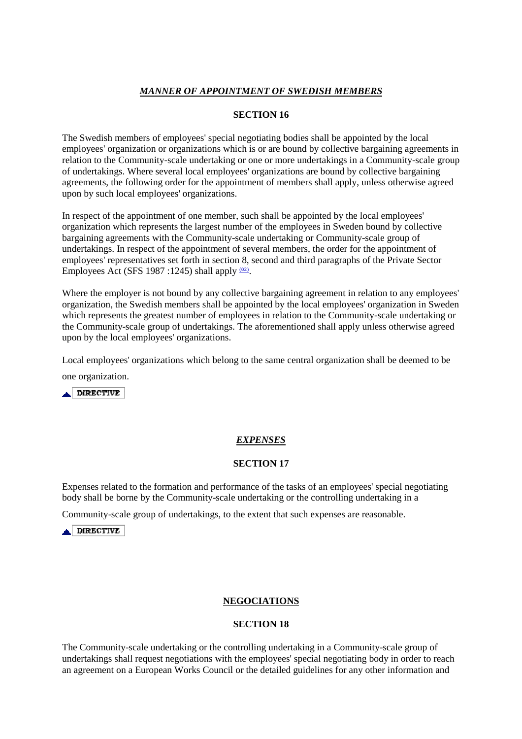## *MANNER OF APPOINTMENT OF SWEDISH MEMBERS*

## **SECTION 16**

The Swedish members of employees' special negotiating bodies shall be appointed by the local employees' organization or organizations which is or are bound by collective bargaining agreements in relation to the Community-scale undertaking or one or more undertakings in a Community-scale group of undertakings. Where several local employees' organizations are bound by collective bargaining agreements, the following order for the appointment of members shall apply, unless otherwise agreed upon by such local employees' organizations.

In respect of the appointment of one member, such shall be appointed by the local employees' organization which represents the largest number of the employees in Sweden bound by collective bargaining agreements with the Community-scale undertaking or Community-scale group of undertakings. In respect of the appointment of several members, the order for the appointment of employees' representatives set forth in section 8, second and third paragraphs of the Private Sector Employees Act (SFS 1987:1245) shall apply  $(02)$ .

Where the employer is not bound by any collective bargaining agreement in relation to any employees' organization, the Swedish members shall be appointed by the local employees' organization in Sweden which represents the greatest number of employees in relation to the Community-scale undertaking or the Community-scale group of undertakings. The aforementioned shall apply unless otherwise agreed upon by the local employees' organizations.

Local employees' organizations which belong to the same central organization shall be deemed to be one organization.

 $\triangle$  DIRECTIVE

# *EXPENSES*

## **SECTION 17**

Expenses related to the formation and performance of the tasks of an employees' special negotiating body shall be borne by the Community-scale undertaking or the controlling undertaking in a

Community-scale group of undertakings, to the extent that such expenses are reasonable.

DIRECTIVE

## **NEGOCIATIONS**

## **SECTION 18**

The Community-scale undertaking or the controlling undertaking in a Community-scale group of undertakings shall request negotiations with the employees' special negotiating body in order to reach an agreement on a European Works Council or the detailed guidelines for any other information and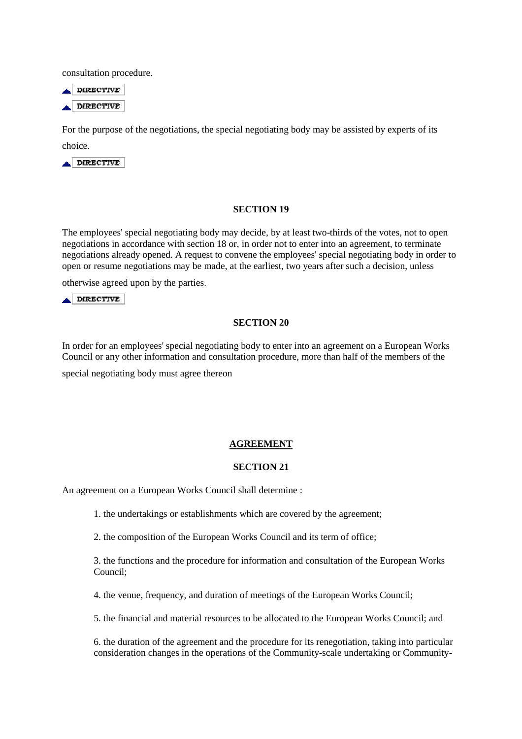consultation procedure.

 $\triangle$  DIRECTIVE DIRECTIVE

For the purpose of the negotiations, the special negotiating body may be assisted by experts of its choice.

 $\triangle$ DIRECTIVE

### **SECTION 19**

The employees' special negotiating body may decide, by at least two-thirds of the votes, not to open negotiations in accordance with section 18 or, in order not to enter into an agreement, to terminate negotiations already opened. A request to convene the employees' special negotiating body in order to open or resume negotiations may be made, at the earliest, two years after such a decision, unless

otherwise agreed upon by the parties.

DIRECTIVE

### **SECTION 20**

In order for an employees' special negotiating body to enter into an agreement on a European Works Council or any other information and consultation procedure, more than half of the members of the

special negotiating body must agree thereon

### **AGREEMENT**

### **SECTION 21**

An agreement on a European Works Council shall determine :

1. the undertakings or establishments which are covered by the agreement;

2. the composition of the European Works Council and its term of office;

3. the functions and the procedure for information and consultation of the European Works Council;

4. the venue, frequency, and duration of meetings of the European Works Council;

5. the financial and material resources to be allocated to the European Works Council; and

6. the duration of the agreement and the procedure for its renegotiation, taking into particular consideration changes in the operations of the Community-scale undertaking or Community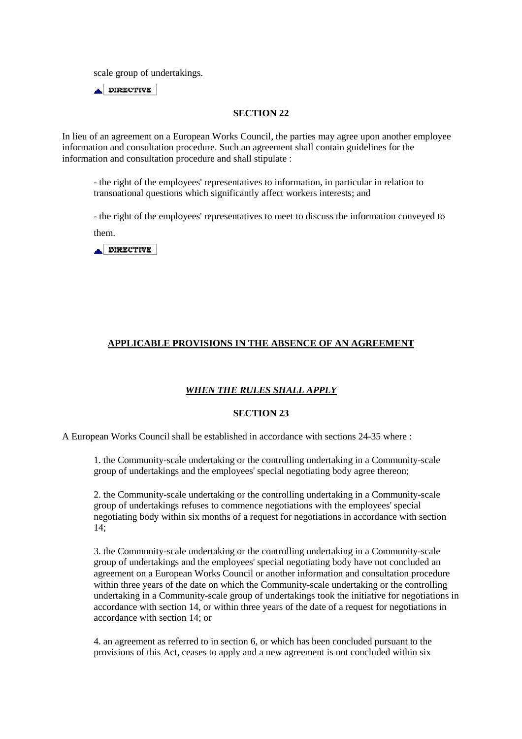scale group of undertakings.

 $\triangle$  DIRECTIVE

## **SECTION 22**

In lieu of an agreement on a European Works Council, the parties may agree upon another employee information and consultation procedure. Such an agreement shall contain guidelines for the information and consultation procedure and shall stipulate :

- the right of the employees' representatives to information, in particular in relation to transnational questions which significantly affect workers interests; and

- the right of the employees' representatives to meet to discuss the information conveyed to

them.



# **APPLICABLE PROVISIONS IN THE ABSENCE OF AN AGREEMENT**

# *WHEN THE RULES SHALL APPLY*

## **SECTION 23**

A European Works Council shall be established in accordance with sections 24-35 where :

1. the Community-scale undertaking or the controlling undertaking in a Community-scale group of undertakings and the employees' special negotiating body agree thereon;

2. the Community-scale undertaking or the controlling undertaking in a Community-scale group of undertakings refuses to commence negotiations with the employees' special negotiating body within six months of a request for negotiations in accordance with section 14;

3. the Community-scale undertaking or the controlling undertaking in a Community-scale group of undertakings and the employees' special negotiating body have not concluded an agreement on a European Works Council or another information and consultation procedure within three years of the date on which the Community-scale undertaking or the controlling undertaking in a Community-scale group of undertakings took the initiative for negotiations in accordance with section 14, or within three years of the date of a request for negotiations in accordance with section 14; or

4. an agreement as referred to in section 6, or which has been concluded pursuant to the provisions of this Act, ceases to apply and a new agreement is not concluded within six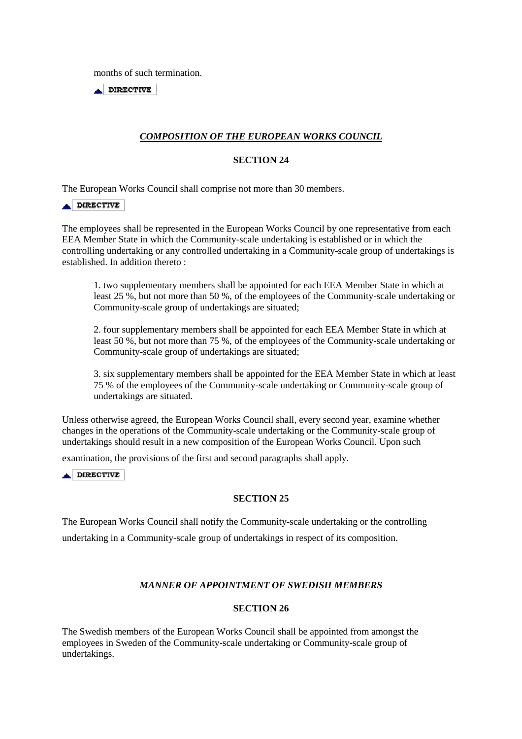months of such termination.

 $\triangle$  DIRECTIVE

# *COMPOSITION OF THE EUROPEAN WORKS COUNCIL*

## **SECTION 24**

The European Works Council shall comprise not more than 30 members.

## DIRECTIVE

The employees shall be represented in the European Works Council by one representative from each EEA Member State in which the Community-scale undertaking is established or in which the controlling undertaking or any controlled undertaking in a Community-scale group of undertakings is established. In addition thereto :

1. two supplementary members shall be appointed for each EEA Member State in which at least 25 %, but not more than 50 %, of the employees of the Community-scale undertaking or Community-scale group of undertakings are situated;

2. four supplementary members shall be appointed for each EEA Member State in which at least 50 %, but not more than 75 %, of the employees of the Community-scale undertaking or Community-scale group of undertakings are situated;

3. six supplementary members shall be appointed for the EEA Member State in which at least 75 % of the employees of the Community-scale undertaking or Community-scale group of undertakings are situated.

Unless otherwise agreed, the European Works Council shall, every second year, examine whether changes in the operations of the Community-scale undertaking or the Community-scale group of undertakings should result in a new composition of the European Works Council. Upon such

examination, the provisions of the first and second paragraphs shall apply.

DIRECTIVE

## **SECTION 25**

The European Works Council shall notify the Community-scale undertaking or the controlling undertaking in a Community-scale group of undertakings in respect of its composition.

## *MANNER OF APPOINTMENT OF SWEDISH MEMBERS*

## **SECTION 26**

The Swedish members of the European Works Council shall be appointed from amongst the employees in Sweden of the Community-scale undertaking or Community-scale group of undertakings.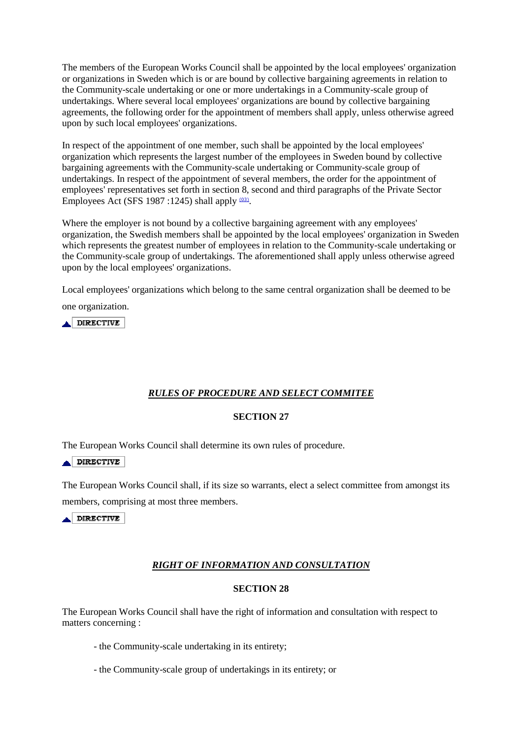The members of the European Works Council shall be appointed by the local employees' organization or organizations in Sweden which is or are bound by collective bargaining agreements in relation to the Community-scale undertaking or one or more undertakings in a Community-scale group of undertakings. Where several local employees' organizations are bound by collective bargaining agreements, the following order for the appointment of members shall apply, unless otherwise agreed upon by such local employees' organizations.

In respect of the appointment of one member, such shall be appointed by the local employees' organization which represents the largest number of the employees in Sweden bound by collective bargaining agreements with the Community-scale undertaking or Community-scale group of undertakings. In respect of the appointment of several members, the order for the appointment of employees' representatives set forth in section 8, second and third paragraphs of the Private Sector Employees Act (SFS 1987:1245) shall apply  $(03)$ .

Where the employer is not bound by a collective bargaining agreement with any employees' organization, the Swedish members shall be appointed by the local employees' organization in Sweden which represents the greatest number of employees in relation to the Community-scale undertaking or the Community-scale group of undertakings. The aforementioned shall apply unless otherwise agreed upon by the local employees' organizations.

Local employees' organizations which belong to the same central organization shall be deemed to be

one organization.

A DIRECTIVE

# *RULES OF PROCEDURE AND SELECT COMMITEE*

## **SECTION 27**

The European Works Council shall determine its own rules of procedure.

 $\triangle$  DIRECTIVE

The European Works Council shall, if its size so warrants, elect a select committee from amongst its members, comprising at most three members.

DIRECTIVE

# *RIGHT OF INFORMATION AND CONSULTATION*

# **SECTION 28**

The European Works Council shall have the right of information and consultation with respect to matters concerning :

- the Community-scale undertaking in its entirety;
- the Community-scale group of undertakings in its entirety; or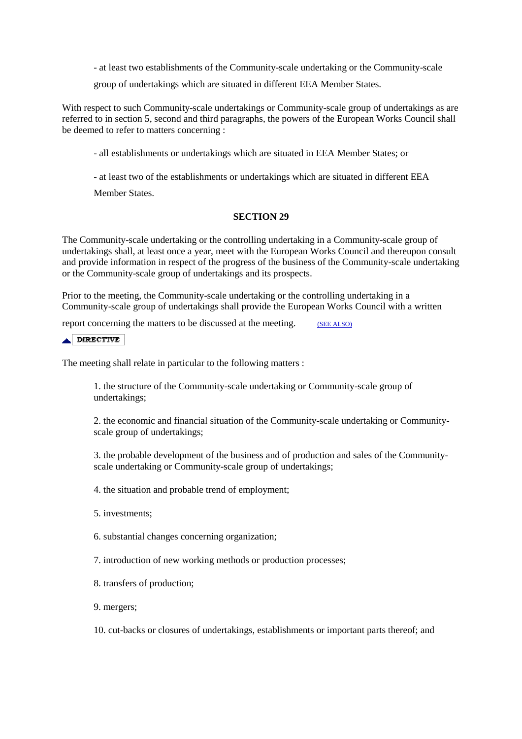- at least two establishments of the Community-scale undertaking or the Community-scale

group of undertakings which are situated in different EEA Member States.

With respect to such Community-scale undertakings or Community-scale group of undertakings as are referred to in section 5, second and third paragraphs, the powers of the European Works Council shall be deemed to refer to matters concerning :

- all establishments or undertakings which are situated in EEA Member States; or

- at least two of the establishments or undertakings which are situated in different EEA

Member States.

### **SECTION 29**

The Community-scale undertaking or the controlling undertaking in a Community-scale group of undertakings shall, at least once a year, meet with the European Works Council and thereupon consult and provide information in respect of the progress of the business of the Community-scale undertaking or the Community-scale group of undertakings and its prospects.

Prior to the meeting, the Community-scale undertaking or the controlling undertaking in a Community-scale group of undertakings shall provide the European Works Council with a written

report concerning the matters to be discussed at the meeting. (SEE ALSO)

#### $\triangle$  DIRECTIVE

The meeting shall relate in particular to the following matters :

1. the structure of the Community-scale undertaking or Community-scale group of undertakings;

2. the economic and financial situation of the Community-scale undertaking or Communityscale group of undertakings;

3. the probable development of the business and of production and sales of the Communityscale undertaking or Community-scale group of undertakings;

4. the situation and probable trend of employment;

- 5. investments;
- 6. substantial changes concerning organization;
- 7. introduction of new working methods or production processes;
- 8. transfers of production;
- 9. mergers;

10. cut-backs or closures of undertakings, establishments or important parts thereof; and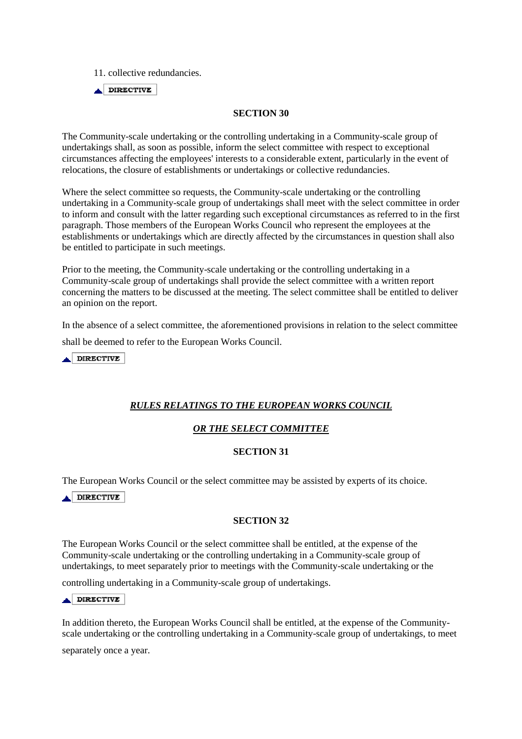11. collective redundancies.

 $\blacktriangle$  DIRECTIVE

### **SECTION 30**

The Community-scale undertaking or the controlling undertaking in a Community-scale group of undertakings shall, as soon as possible, inform the select committee with respect to exceptional circumstances affecting the employees' interests to a considerable extent, particularly in the event of relocations, the closure of establishments or undertakings or collective redundancies.

Where the select committee so requests, the Community-scale undertaking or the controlling undertaking in a Community-scale group of undertakings shall meet with the select committee in order to inform and consult with the latter regarding such exceptional circumstances as referred to in the first paragraph. Those members of the European Works Council who represent the employees at the establishments or undertakings which are directly affected by the circumstances in question shall also be entitled to participate in such meetings.

Prior to the meeting, the Community-scale undertaking or the controlling undertaking in a Community-scale group of undertakings shall provide the select committee with a written report concerning the matters to be discussed at the meeting. The select committee shall be entitled to deliver an opinion on the report.

In the absence of a select committee, the aforementioned provisions in relation to the select committee shall be deemed to refer to the European Works Council.

**DIRECTIVE** 

# *RULES RELATINGS TO THE EUROPEAN WORKS COUNCIL*

## *OR THE SELECT COMMITTEE*

## **SECTION 31**

The European Works Council or the select committee may be assisted by experts of its choice.

A DIRECTIVE

## **SECTION 32**

The European Works Council or the select committee shall be entitled, at the expense of the Community-scale undertaking or the controlling undertaking in a Community-scale group of undertakings, to meet separately prior to meetings with the Community-scale undertaking or the

controlling undertaking in a Community-scale group of undertakings.

### DIRECTIVE

In addition thereto, the European Works Council shall be entitled, at the expense of the Communityscale undertaking or the controlling undertaking in a Community-scale group of undertakings, to meet

separately once a year.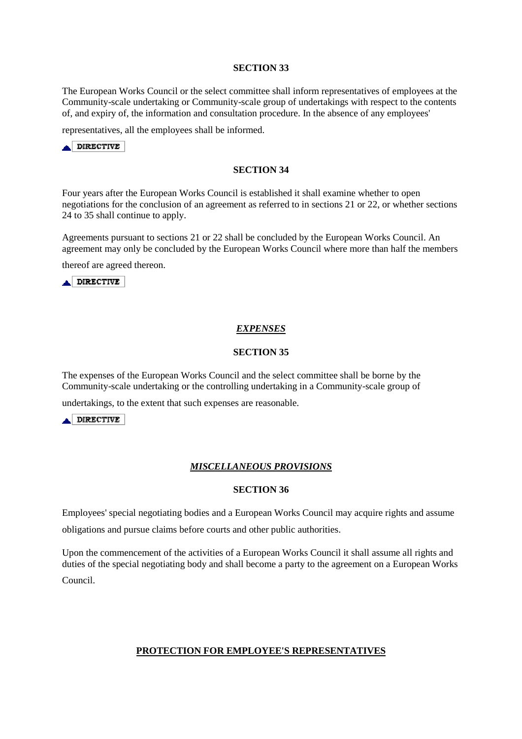### **SECTION 33**

The European Works Council or the select committee shall inform representatives of employees at the Community-scale undertaking or Community-scale group of undertakings with respect to the contents of, and expiry of, the information and consultation procedure. In the absence of any employees'

representatives, all the employees shall be informed.



### **SECTION 34**

Four years after the European Works Council is established it shall examine whether to open negotiations for the conclusion of an agreement as referred to in sections 21 or 22, or whether sections 24 to 35 shall continue to apply.

Agreements pursuant to sections 21 or 22 shall be concluded by the European Works Council. An agreement may only be concluded by the European Works Council where more than half the members

thereof are agreed thereon.

**ADIRECTIVE** 

### *EXPENSES*

#### **SECTION 35**

The expenses of the European Works Council and the select committee shall be borne by the Community-scale undertaking or the controlling undertaking in a Community-scale group of

undertakings, to the extent that such expenses are reasonable.

**ADIRECTIVE** 

### *MISCELLANEOUS PROVISIONS*

### **SECTION 36**

Employees' special negotiating bodies and a European Works Council may acquire rights and assume obligations and pursue claims before courts and other public authorities.

Upon the commencement of the activities of a European Works Council it shall assume all rights and duties of the special negotiating body and shall become a party to the agreement on a European Works

Council.

### **PROTECTION FOR EMPLOYEE'S REPRESENTATIVES**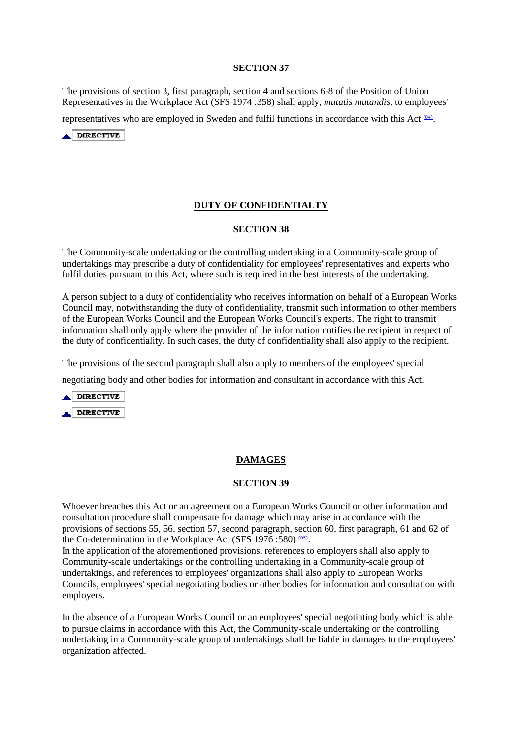## **SECTION 37**

The provisions of section 3, first paragraph, section 4 and sections 6-8 of the Position of Union Representatives in the Workplace Act (SFS 1974 :358) shall apply, *mutatis mutandis*, to employees'

representatives who are employed in Sweden and fulfil functions in accordance with this Act <sup>(04)</sup>.



# **DUTY OF CONFIDENTIALTY**

### **SECTION 38**

The Community-scale undertaking or the controlling undertaking in a Community-scale group of undertakings may prescribe a duty of confidentiality for employees' representatives and experts who fulfil duties pursuant to this Act, where such is required in the best interests of the undertaking.

A person subject to a duty of confidentiality who receives information on behalf of a European Works Council may, notwithstanding the duty of confidentiality, transmit such information to other members of the European Works Council and the European Works Council's experts. The right to transmit information shall only apply where the provider of the information notifies the recipient in respect of the duty of confidentiality. In such cases, the duty of confidentiality shall also apply to the recipient.

The provisions of the second paragraph shall also apply to members of the employees' special negotiating body and other bodies for information and consultant in accordance with this Act.



## **DAMAGES**

### **SECTION 39**

Whoever breaches this Act or an agreement on a European Works Council or other information and consultation procedure shall compensate for damage which may arise in accordance with the provisions of sections 55, 56, section 57, second paragraph, section 60, first paragraph, 61 and 62 of the Co-determination in the Workplace Act (SFS 1976:580) (05).

In the application of the aforementioned provisions, references to employers shall also apply to Community-scale undertakings or the controlling undertaking in a Community-scale group of undertakings, and references to employees' organizations shall also apply to European Works Councils, employees' special negotiating bodies or other bodies for information and consultation with employers.

In the absence of a European Works Council or an employees' special negotiating body which is able to pursue claims in accordance with this Act, the Community-scale undertaking or the controlling undertaking in a Community-scale group of undertakings shall be liable in damages to the employees' organization affected.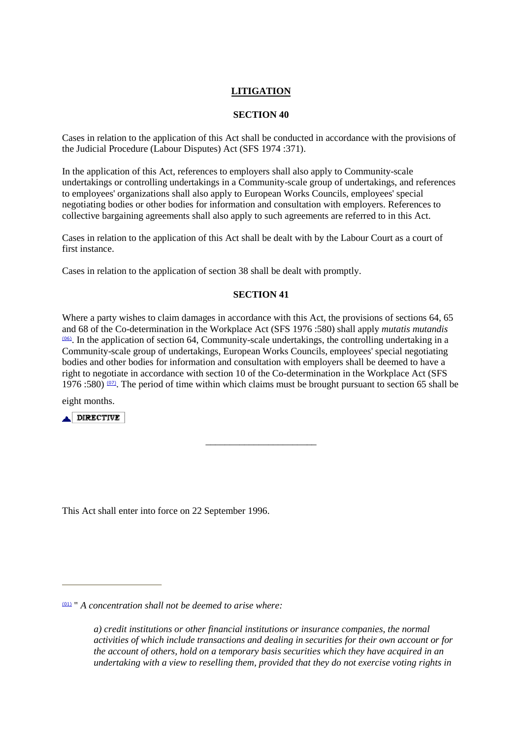## **LITIGATION**

## **SECTION 40**

Cases in relation to the application of this Act shall be conducted in accordance with the provisions of the Judicial Procedure (Labour Disputes) Act (SFS 1974 :371).

In the application of this Act, references to employers shall also apply to Community-scale undertakings or controlling undertakings in a Community-scale group of undertakings, and references to employees' organizations shall also apply to European Works Councils, employees' special negotiating bodies or other bodies for information and consultation with employers. References to collective bargaining agreements shall also apply to such agreements are referred to in this Act.

Cases in relation to the application of this Act shall be dealt with by the Labour Court as a court of first instance.

Cases in relation to the application of section 38 shall be dealt with promptly.

## **SECTION 41**

Where a party wishes to claim damages in accordance with this Act, the provisions of sections 64, 65 and 68 of the Co-determination in the Workplace Act (SFS 1976 :580) shall apply *mutatis mutandis*   $(06)$ . In the application of section 64, Community-scale undertakings, the controlling undertaking in a Community-scale group of undertakings, European Works Councils, employees' special negotiating bodies and other bodies for information and consultation with employers shall be deemed to have a right to negotiate in accordance with section 10 of the Co-determination in the Workplace Act (SFS 1976 :580)  $(0, 0)$ . The period of time within which claims must be brought pursuant to section 65 shall be

\_\_\_\_\_\_\_\_\_\_\_\_\_\_\_\_\_\_\_\_\_\_\_

eight months.

**A DIRECTIVE** 

This Act shall enter into force on 22 September 1996.

*a) credit institutions or other financial institutions or insurance companies, the normal activities of which include transactions and dealing in securities for their own account or for the account of others, hold on a temporary basis securities which they have acquired in an undertaking with a view to reselling them, provided that they do not exercise voting rights in* 

<sup>(01)</sup> " *A concentration shall not be deemed to arise where:*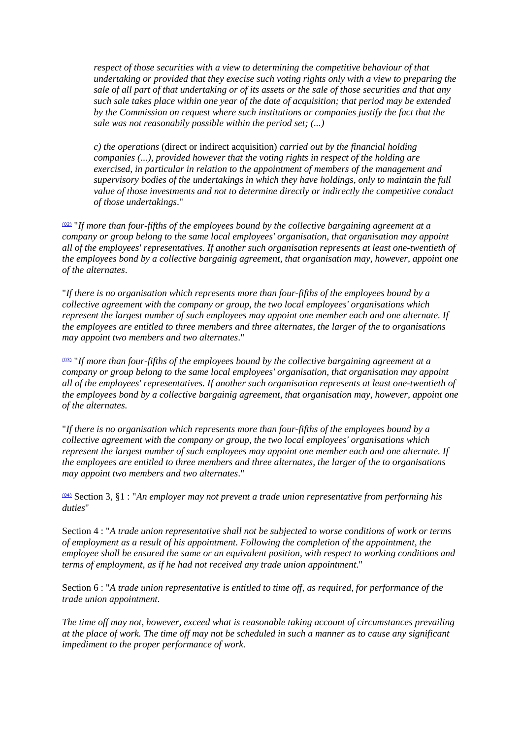*respect of those securities with a view to determining the competitive behaviour of that undertaking or provided that they execise such voting rights only with a view to preparing the sale of all part of that undertaking or of its assets or the sale of those securities and that any such sale takes place within one year of the date of acquisition; that period may be extended by the Commission on request where such institutions or companies justify the fact that the sale was not reasonabily possible within the period set; (...)* 

*c) the operations* (direct or indirect acquisition) *carried out by the financial holding companies (...), provided however that the voting rights in respect of the holding are exercised, in particular in relation to the appointment of members of the management and supervisory bodies of the undertakings in which they have holdings, only to maintain the full value of those investments and not to determine directly or indirectly the competitive conduct of those undertakings*."

(02) "*If more than four-fifths of the employees bound by the collective bargaining agreement at a company or group belong to the same local employees' organisation, that organisation may appoint all of the employees' representatives. If another such organisation represents at least one-twentieth of the employees bond by a collective bargainig agreement, that organisation may, however, appoint one of the alternates*.

"*If there is no organisation which represents more than four-fifths of the employees bound by a collective agreement with the company or group, the two local employees' organisations which represent the largest number of such employees may appoint one member each and one alternate. If the employees are entitled to three members and three alternates, the larger of the to organisations may appoint two members and two alternates*."

(03) "*If more than four-fifths of the employees bound by the collective bargaining agreement at a company or group belong to the same local employees' organisation, that organisation may appoint all of the employees' representatives. If another such organisation represents at least one-twentieth of the employees bond by a collective bargainig agreement, that organisation may, however, appoint one of the alternates.* 

"*If there is no organisation which represents more than four-fifths of the employees bound by a collective agreement with the company or group, the two local employees' organisations which represent the largest number of such employees may appoint one member each and one alternate. If the employees are entitled to three members and three alternates, the larger of the to organisations may appoint two members and two alternates*."

(04) Section 3, §1 : "*An employer may not prevent a trade union representative from performing his duties*"

Section 4 : "*A trade union representative shall not be subjected to worse conditions of work or terms of employment as a result of his appointment. Following the completion of the appointment, the employee shall be ensured the same or an equivalent position, with respect to working conditions and terms of employment, as if he had not received any trade union appointment*."

Section 6 : "*A trade union representative is entitled to time off, as required, for performance of the trade union appointment.* 

*The time off may not, however, exceed what is reasonable taking account of circumstances prevailing at the place of work. The time off may not be scheduled in such a manner as to cause any significant impediment to the proper performance of work.*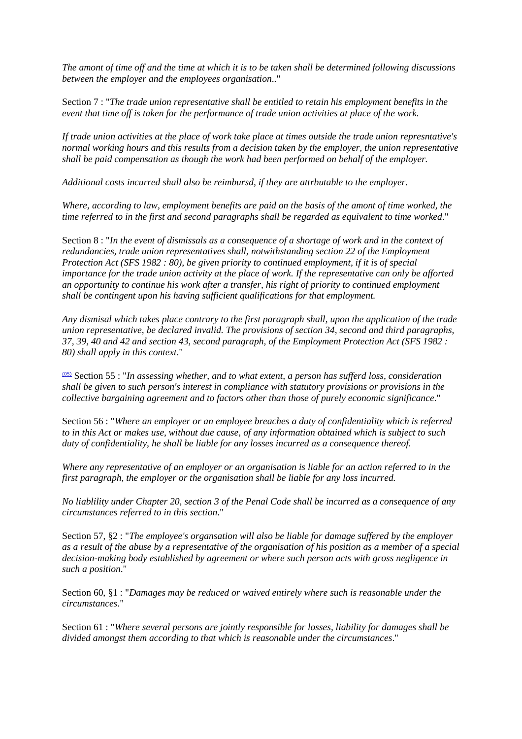*The amont of time off and the time at which it is to be taken shall be determined following discussions between the employer and the employees organisation*.."

Section 7 : "*The trade union representative shall be entitled to retain his employment benefits in the event that time off is taken for the performance of trade union activities at place of the work.* 

*If trade union activities at the place of work take place at times outside the trade union represntative's normal working hours and this results from a decision taken by the employer, the union representative shall be paid compensation as though the work had been performed on behalf of the employer.* 

*Additional costs incurred shall also be reimbursd, if they are attrbutable to the employer.* 

*Where, according to law, employment benefits are paid on the basis of the amont of time worked, the time referred to in the first and second paragraphs shall be regarded as equivalent to time worked*."

Section 8 : "*In the event of dismissals as a consequence of a shortage of work and in the context of redundancies, trade union representatives shall, notwithstanding section 22 of the Employment Protection Act (SFS 1982 : 80), be given priority to continued employment, if it is of special importance for the trade union activity at the place of work. If the representative can only be afforted an opportunity to continue his work after a transfer, his right of priority to continued employment shall be contingent upon his having sufficient qualifications for that employment.* 

*Any dismisal which takes place contrary to the first paragraph shall, upon the application of the trade union representative, be declared invalid. The provisions of section 34, second and third paragraphs, 37, 39, 40 and 42 and section 43, second paragraph, of the Employment Protection Act (SFS 1982 : 80) shall apply in this context*."

(05) Section 55 : "*In assessing whether, and to what extent, a person has sufferd loss, consideration shall be given to such person's interest in compliance with statutory provisions or provisions in the collective bargaining agreement and to factors other than those of purely economic significance*."

Section 56 : "*Where an employer or an employee breaches a duty of confidentiality which is referred to in this Act or makes use, without due cause, of any information obtained which is subject to such duty of confidentiality, he shall be liable for any losses incurred as a consequence thereof.* 

*Where any representative of an employer or an organisation is liable for an action referred to in the first paragraph, the employer or the organisation shall be liable for any loss incurred.* 

*No liablility under Chapter 20, section 3 of the Penal Code shall be incurred as a consequence of any circumstances referred to in this section*."

Section 57, §2 : "*The employee's organsation will also be liable for damage suffered by the employer as a result of the abuse by a representative of the organisation of his position as a member of a special decision-making body established by agreement or where such person acts with gross negligence in such a position*."

Section 60, §1 : "*Damages may be reduced or waived entirely where such is reasonable under the circumstances*."

Section 61 : "*Where several persons are jointly responsible for losses, liability for damages shall be divided amongst them according to that which is reasonable under the circumstances*."